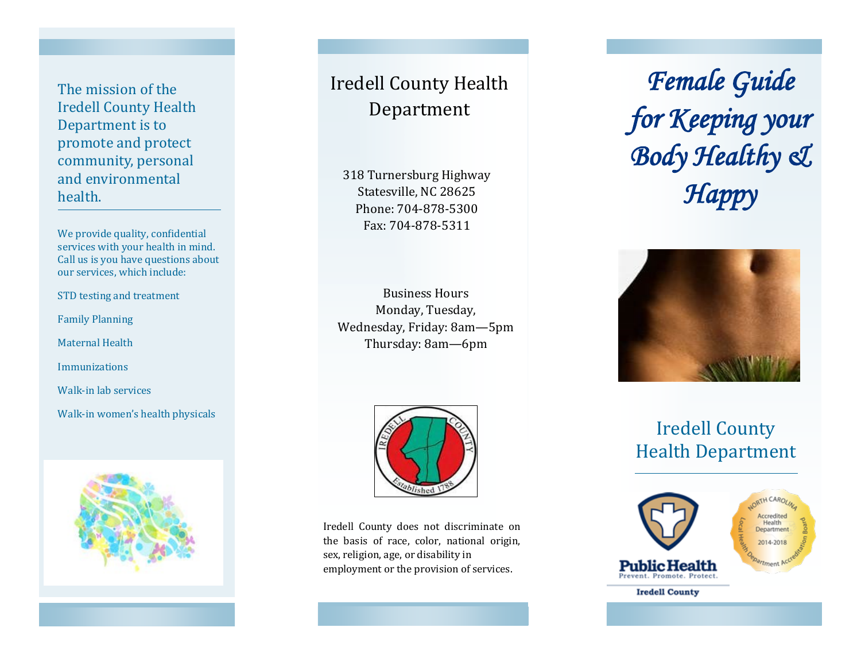The mission of the Iredell County Health Department is to promote and protect community, personal and environmental health.

We provide quality, confidential services with your health in mind. Call us is you have questions about our services, which include:

STD testing and treatment

Family Planning

Maternal Health

Immunizations

Walk-in lab services

Walk-in women's health physicals



# Iredell County Health Department

318 Turnersburg Highway Statesville, NC 28625 Phone: 704-878-5300 Fax: 704-878-5311

Business Hours Monday, Tuesday, Wednesday, Friday: 8am—5pm Thursday: 8am—6pm



Iredell County does not discriminate on the basis of race, color, national origin, sex, religion, age, or disability in employment or the provision of services.

*Female Guide for Keeping your Body Healthy & Happy* 

V



## Iredell County Health Department